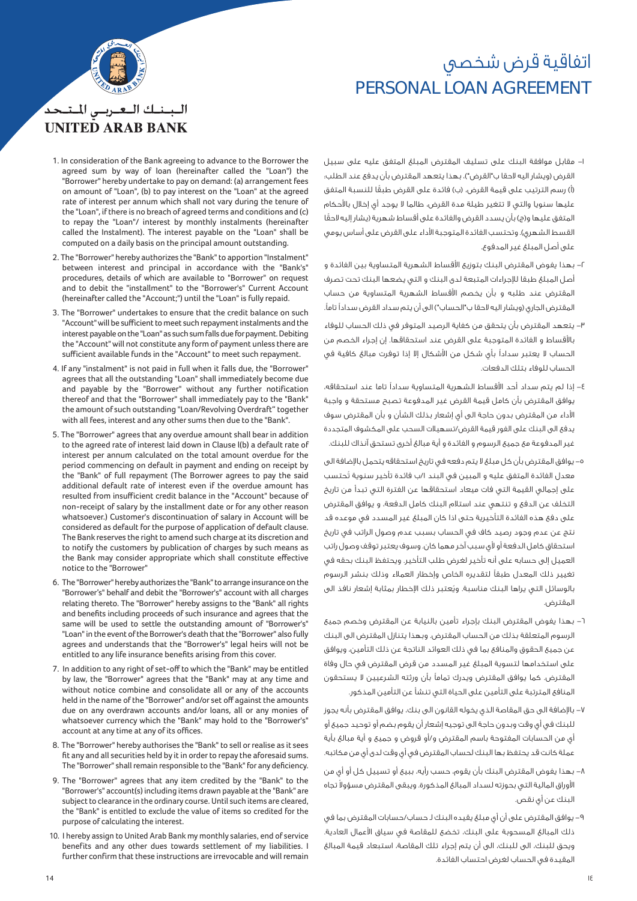## PERSONAL LOAN AGREEMENT اتفاقية قرض شخصي



## البينيك التعتريس المتنحد **UNITED ARAB BANK**

- 1. In consideration of the Bank agreeing to advance to the Borrower the agreed sum by way of loan (hereinafter called the "Loan") the "Borrower" hereby undertake to pay on demand: (a) arrangement fees on amount of "Loan", (b) to pay interest on the "Loan" at the agreed rate of interest per annum which shall not vary during the tenure of the "Loan", if there is no breach of agreed terms and conditions and (c) to repay the "Loan"/ interest by monthly instalments (hereinafter called the Instalment). The interest payable on the "Loan" shall be computed on a daily basis on the principal amount outstanding.
- 2. The "Borrower" hereby authorizes the "Bank" to apportion "Instalment" between interest and principal in accordance with the "Bank's" procedures, details of which are available to "Borrower" on request and to debit the "installment" to the "Borrower's" Current Account (hereinafter called the "Account;") until the "Loan" is fully repaid.
- 3. The "Borrower" undertakes to ensure that the credit balance on such "Account" will be sufficient to meet such repayment instalments and the interest payable on the "Loan" as such sum falls due for payment. Debiting the "Account" will not constitute any form of payment unless there are sufficient available funds in the "Account" to meet such repayment.
- 4. If any "instalment" is not paid in full when it falls due, the "Borrower" agrees that all the outstanding "Loan" shall immediately become due and payable by the "Borrower" without any further notification thereof and that the "Borrower" shall immediately pay to the "Bank" the amount of such outstanding "Loan/Revolving Overdraft" together with all fees, interest and any other sums then due to the "Bank".
- 5. The "Borrower" agrees that any overdue amount shall bear in addition to the agreed rate of interest laid down in Clause l(b) a default rate of interest per annum calculated on the total amount overdue for the period commencing on default in payment and ending on receipt by the "Bank" of full repayment (The Borrower agrees to pay the said additional default rate of interest even if the overdue amount has resulted from insufficient credit balance in the "Account" because of non-receipt of salary by the installment date or for any other reason whatsoever.) Customer's discontinuation of salary in Account will be considered as default for the purpose of application of default clause. The Bank reserves the right to amend such charge at its discretion and to notify the customers by publication of charges by such means as the Bank may consider appropriate which shall constitute effective notice to the "Borrower"
- 6. The "Borrower" hereby authorizes the "Bank" to arrange insurance on the "Borrower's" behalf and debit the "Borrower's" account with all charges relating thereto. The "Borrower" hereby assigns to the "Bank" all rights and benefits including proceeds of such insurance and agrees that the same will be used to settle the outstanding amount of "Borrower's" "Loan" in the event of the Borrower's death that the "Borrower" also fully agrees and understands that the "Borrower's" legal heirs will not be entitled to any life insurance benefits arising from this cover.
- 7. In addition to any right of set-off to which the "Bank" may be entitled by law, the "Borrower" agrees that the "Bank" may at any time and without notice combine and consolidate all or any of the accounts held in the name of the "Borrower" and/or set off against the amounts due on any overdrawn accounts and/or loans, all or any monies of whatsoever currency which the "Bank" may hold to the "Borrower's" account at any time at any of its offices.
- 8. The "Borrower" hereby authorises the "Bank" to sell or realise as it sees fit any and all securities held by it in order to repay the aforesaid sums. The "Borrower" shall remain responsible to the "Bank" for any deficiency.
- 9. The "Borrower" agrees that any item credited by the "Bank" to the "Borrower's" account(s) including items drawn payable at the "Bank" are subject to clearance in the ordinary course. Until such items are cleared, the "Bank" is entitled to exclude the value of items so credited for the purpose of calculating the interest.
- 10. I hereby assign to United Arab Bank my monthly salaries, end of service benefits and any other dues towards settlement of my liabilities. I further confirm that these instructions are irrevocable and will remain
- -١ مقابل موافقة البنك على تسليف المقترض المبلغ المتفق عليه على سبيل القرض (ويشار اليه لاحقا ب"القرض")، بهذا يتعهد المقترض بأن يدفع عند الطلب: ً (أ) رسم الترتيب على قيمة القرض، (ب) فائدة على القرض طبقا للنسبة المتفق عليها سنويا والتي لا تتغير طيلة مدة القرض، طالما لا يوجد أي إخلال باحكام ً المتفق عليها و(ج) بأن يسدد القرض والفائدة على أقساط شهرية (يشار إليه لاحقا القسط الشهري). وتحتسب الفائدة المتوجبة الأداء على القرض على أساس يومي على أصل المبلغ غير المدفوع.
- -٢ بهذا يفوض المقترض البنك بتوزيع اقساط الشهرية المتساوية بين الفائدة و أصل المبلغ طبقا لµجراءات المتبعة لدى البنك و التي يضعها البنك تحت تصرف المقترض عند طلبه و بأن يخصم اقساط الشهرية المتساوية من حساب المقترض الجاري (ويشار اليه لاحقا ب"الحساب") الى أن يتم سداد القرض سداد̧ تام·.
- -٣ يتعهد المقترض بأن يتحقق من كفاية الرصيد المتوفر في ذلك الحساب للوفاء باقساط و الفائدة المتوجبة على القرض عند استحقاقها. إن إجراء الخصم من الحساب لا يعتبر سداد̧ بأي شكل من اشكال إلا إذا توفرت مبالغ كافية في الحساب للوفاء بتلك الدفعات.
- -٤ إذا لم يتم سداد أحد اقساط الشهرية المتساوية سداد̧ تاما عند استحقاقه، يوافق المقترض بأن كامل قيمة القرض غير المدفوعة تصبح مستحقة و واجبة اداء من المقترض بدون حاجة الى أي إشعار بذلك الشأن و بأن المقترض سوف يدفع الى البنك على الفور قيمة القرض/تسهيلات السحب على المكشوف المتجددة غير المدفوعة مع جميع الرسوم و الفائدة و أية مبالغ أخرى تستحق آنذاك للبنك.
- ه– يوافق المقترض بأن كل مبلغ لا يتم دفعه في تاريخ استحقاقه يتحمل بالإضافة الى معدل الفائدة المتفق عليه و المبين في البند ١/ب فائدة تأخير سنوية تُحتسب على إجمالي القيمة التي فات ميعاد استحقاقها عن الفترة التي تبدأ من تاريخ التخلف عن الدفع و تنتهي عند استلام البنك كامل الدفعة، و يوافق المقترض على دفع هذه الفائدة التأخيرية حتى اذا كان المبلغ غير المسدد في موعده قد نتج عن عدم وجود رصيد كاف في الحساب بسبب عدم وصول الراتب في تاريخ استحقاق كامل الدفعة أو لأى سبب آخر مهما كان. وسوف يعتبر توقف وصول راتب العميل إلى حسابه على أنه تأخير لغرض طلب التأخير. ويحتفظ البنك بحقه في تغيير ذلك المعدل طبقاً لتقديره الخاص وإخطار العملاء وذلك بنشر الرسوم بالوسائل التي يراها البنك مناسبة. ويُعتبر ذلك الإخطار بمثابة إشعار نافذ الى المقترض.
- -٦ بهذا يفوض المقترض البنك بإجراء تأمين بالنيابة عن المقترض وخصم جميع الرسوم المتعلقة بذلك من الحساب المقترض. وبهذا يتنازل المقترض الى البنك عن جميع الحقوق والمنافع بما في ذلك العوائد الناتجة عن ذلك التأمين، ويوافق على استخدامها لتسوية المبلغ غير المسدد من قرض المقترض في حال وفاة المقترض. كما يوافق المقترض ويدرك تماماً بأن ورثته الشرعيين لا يستحقون المنافع المترتبة على التأمين على الحياة التي تنشأ عن التأمين المذكور.
- ٧– بالإضافة الى حق المقاصة الذي يخوله القانون الى بنك، يوافق المقترض بأنه يجوز للبنك في أي وقت وبدون حاجة الى توجيه إشعار أن يقوم بضم أو توحيد جميع أو أي من الحسابات المفتوحة باسم المقترض و/أو قروض و جميع و أية مبالغ بأية عملة كانت قد يحتفظ بها البنك لحساب المقترض في أي وقت لدى أي من مكاتبه.
- -٨ بهذا يفوض المقترض البنك بأن يقوم، حسب رأيه، ببيع أو تسييل كل أو أي من لأوراق المالية التى بحوزته لسداد المبالغ المذكورة. ويبقى المقترض مسؤولا تجاه البنك عن أي نقص.
- -٩ يوافق المقترض على أن أي مبلغ يقيده البنك لـ حساب/حسابات المقترض بما في ذلك المبالغ المسحوبة على البنك، تخضع للمقاصة في سياق الأعمال العادية. ويحق للبنك، الى للبنك، الى أن يتم إجراء تلك المقاصة، استبعاد قيمة المبالغ المقيدة في الحساب لغرض احتساب الفائدة.